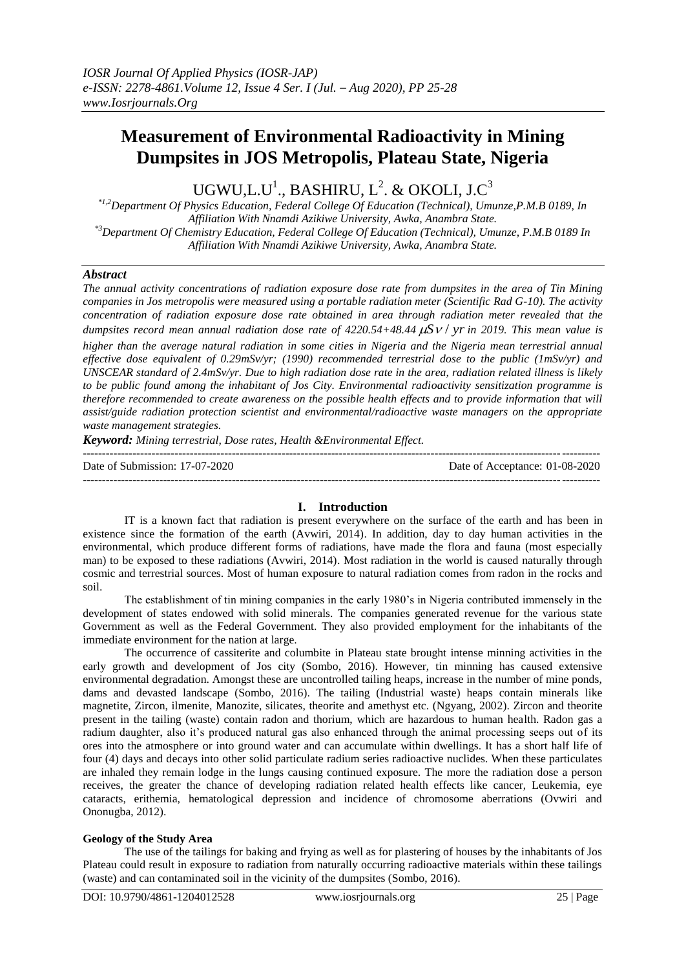# **Measurement of Environmental Radioactivity in Mining Dumpsites in JOS Metropolis, Plateau State, Nigeria**

UGWU,L.U $^1$ ., BASHIRU, L $^2$ . & OKOLI, J.C $^3$ 

*\*1,2Department Of Physics Education, Federal College Of Education (Technical), Umunze,P.M.B 0189, In Affiliation With Nnamdi Azikiwe University, Awka, Anambra State. \*3Department Of Chemistry Education, Federal College Of Education (Technical), Umunze, P.M.B 0189 In Affiliation With Nnamdi Azikiwe University, Awka, Anambra State.*

## *Abstract*

*The annual activity concentrations of radiation exposure dose rate from dumpsites in the area of Tin Mining companies in Jos metropolis were measured using a portable radiation meter (Scientific Rad G-10). The activity concentration of radiation exposure dose rate obtained in area through radiation meter revealed that the*  dumpsites record mean annual radiation dose rate of 4220.54+48.44  $\mu$ S v / yr in 2019. This mean value is *higher than the average natural radiation in some cities in Nigeria and the Nigeria mean terrestrial annual effective dose equivalent of 0.29mSv/yr; (1990) recommended terrestrial dose to the public (1mSv/yr) and UNSCEAR standard of 2.4mSv/yr. Due to high radiation dose rate in the area, radiation related illness is likely to be public found among the inhabitant of Jos City. Environmental radioactivity sensitization programme is therefore recommended to create awareness on the possible health effects and to provide information that will assist/guide radiation protection scientist and environmental/radioactive waste managers on the appropriate waste management strategies.*

*Keyword: Mining terrestrial, Dose rates, Health &Environmental Effect.*

| Date of Submission: 17-07-2020 | Date of Acceptance: 01-08-2020 |
|--------------------------------|--------------------------------|
|                                |                                |

## **I. Introduction**

IT is a known fact that radiation is present everywhere on the surface of the earth and has been in existence since the formation of the earth (Avwiri, 2014). In addition, day to day human activities in the environmental, which produce different forms of radiations, have made the flora and fauna (most especially man) to be exposed to these radiations (Avwiri, 2014). Most radiation in the world is caused naturally through cosmic and terrestrial sources. Most of human exposure to natural radiation comes from radon in the rocks and soil.

The establishment of tin mining companies in the early 1980's in Nigeria contributed immensely in the development of states endowed with solid minerals. The companies generated revenue for the various state Government as well as the Federal Government. They also provided employment for the inhabitants of the immediate environment for the nation at large.

The occurrence of cassiterite and columbite in Plateau state brought intense minning activities in the early growth and development of Jos city (Sombo, 2016). However, tin minning has caused extensive environmental degradation. Amongst these are uncontrolled tailing heaps, increase in the number of mine ponds, dams and devasted landscape (Sombo, 2016). The tailing (Industrial waste) heaps contain minerals like magnetite, Zircon, ilmenite, Manozite, silicates, theorite and amethyst etc. (Ngyang, 2002). Zircon and theorite present in the tailing (waste) contain radon and thorium, which are hazardous to human health. Radon gas a radium daughter, also it's produced natural gas also enhanced through the animal processing seeps out of its ores into the atmosphere or into ground water and can accumulate within dwellings. It has a short half life of four (4) days and decays into other solid particulate radium series radioactive nuclides. When these particulates are inhaled they remain lodge in the lungs causing continued exposure. The more the radiation dose a person receives, the greater the chance of developing radiation related health effects like cancer, Leukemia, eye cataracts, erithemia, hematological depression and incidence of chromosome aberrations (Ovwiri and Ononugba, 2012).

## **Geology of the Study Area**

The use of the tailings for baking and frying as well as for plastering of houses by the inhabitants of Jos Plateau could result in exposure to radiation from naturally occurring radioactive materials within these tailings (waste) and can contaminated soil in the vicinity of the dumpsites (Sombo, 2016).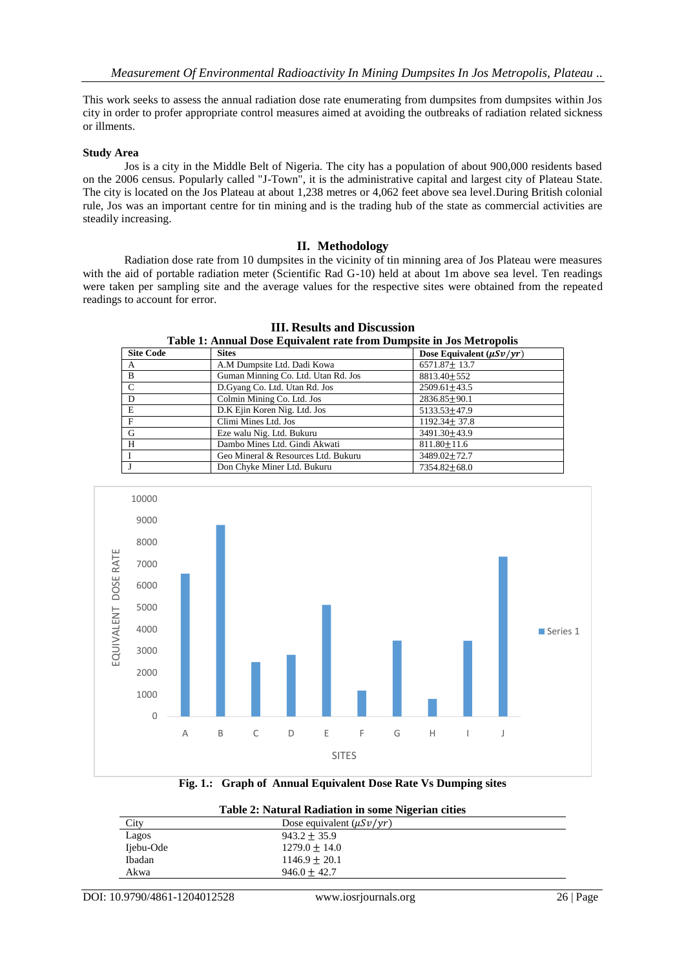This work seeks to assess the annual radiation dose rate enumerating from dumpsites from dumpsites within Jos city in order to profer appropriate control measures aimed at avoiding the outbreaks of radiation related sickness or illments.

### **Study Area**

Jos is a city in the Middle Belt of Nigeria. The city has a population of about 900,000 residents based on the 2006 census. Popularly called "J-Town", it is the administrative capital and largest city of Plateau State. The city is located on the Jos Plateau at about 1,238 metres or 4,062 feet above sea level.During [British](https://en.wikipedia.org/wiki/British_Empire) [colonial](https://en.wikipedia.org/wiki/Colonialism)  [rule,](https://en.wikipedia.org/wiki/Colonialism) Jos was an important centre for [tin mining](https://en.wikipedia.org/wiki/Tin) and is the trading hub of the state as commercial activities are steadily increasing.

## **II. Methodology**

Radiation dose rate from 10 dumpsites in the vicinity of tin minning area of Jos Plateau were measures with the aid of portable radiation meter (Scientific Rad G-10) held at about 1m above sea level. Ten readings were taken per sampling site and the average values for the respective sites were obtained from the repeated readings to account for error.

| Table 1: Annual Dose Equivalent rate from Dumpsite in Jos Metropolis |                                     |                               |  |  |
|----------------------------------------------------------------------|-------------------------------------|-------------------------------|--|--|
| <b>Site Code</b>                                                     | <b>Sites</b>                        | Dose Equivalent $(\mu Sv/yr)$ |  |  |
| A                                                                    | A.M Dumpsite Ltd. Dadi Kowa         | 6571.87 ± 13.7                |  |  |
| B                                                                    | Guman Minning Co. Ltd. Utan Rd. Jos | 8813.40±552                   |  |  |
| C                                                                    | D.Gyang Co. Ltd. Utan Rd. Jos       | $2509.61 \pm 43.5$            |  |  |
| D                                                                    | Colmin Mining Co. Ltd. Jos          | 2836.85±90.1                  |  |  |
| E                                                                    | D.K Ejin Koren Nig. Ltd. Jos        | 5133.53±47.9                  |  |  |
| $\mathbf{F}$                                                         | Climi Mines Ltd. Jos                | $1192.34 \pm 37.8$            |  |  |
| G                                                                    | Eze walu Nig. Ltd. Bukuru           | 3491.30+43.9                  |  |  |
| H                                                                    | Dambo Mines Ltd. Gindi Akwati       | $811.80 \pm 11.6$             |  |  |
|                                                                      | Geo Mineral & Resources Ltd. Bukuru | 3489.02±72.7                  |  |  |
|                                                                      | Don Chyke Miner Ltd. Bukuru         | 7354.82+68.0                  |  |  |

**III. Results and Discussion**



**Fig. 1.: Graph of Annual Equivalent Dose Rate Vs Dumping sites**

**Table 2: Natural Radiation in some Nigerian cities**

| City      | Dose equivalent $(\mu Sv/yr)$ |  |
|-----------|-------------------------------|--|
| Lagos     | $943.2 + 35.9$                |  |
| Ijebu-Ode | $1279.0 \pm 14.0$             |  |
| Ibadan    | $1146.9 + 20.1$               |  |
| Akwa      | $946.0 + 42.7$                |  |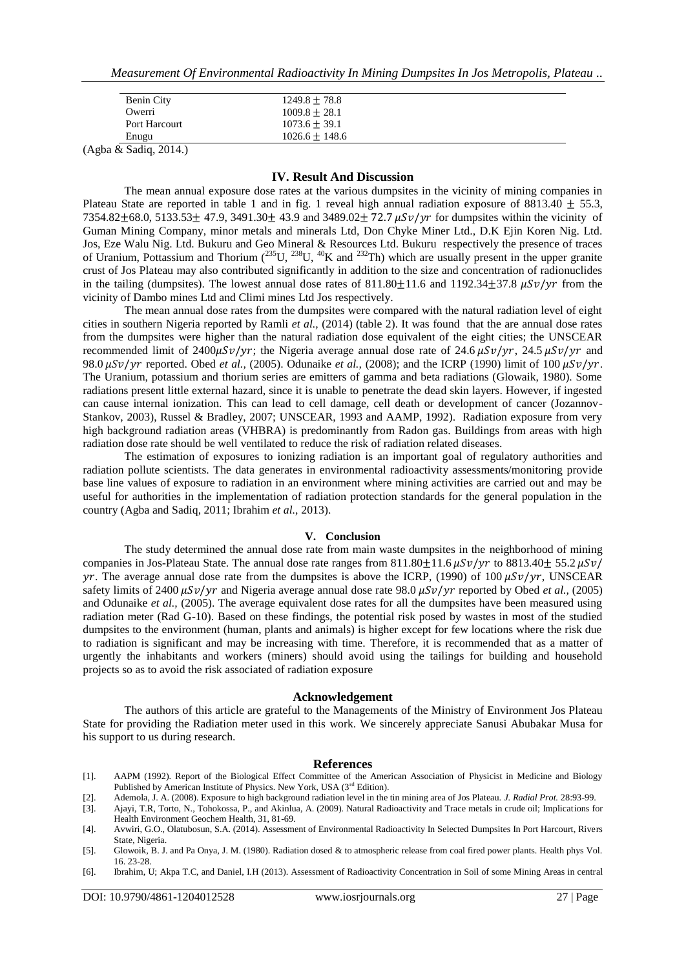*Measurement Of Environmental Radioactivity In Mining Dumpsites In Jos Metropolis, Plateau ..*

| Benin City    | $1249.8 \pm 78.8$  |  |
|---------------|--------------------|--|
| Owerri        | $1009.8 \pm 28.1$  |  |
| Port Harcourt | $1073.6 \pm 39.1$  |  |
| Enugu         | $1026.6 \pm 148.6$ |  |

(Agba & Sadiq, 2014.)

#### **IV. Result And Discussion**

The mean annual exposure dose rates at the various dumpsites in the vicinity of mining companies in Plateau State are reported in table 1 and in fig. 1 reveal high annual radiation exposure of  $8813.40 \pm 55.3$ , 7354.82 $\pm$ 68.0, 5133.53 $\pm$  47.9, 3491.30 $\pm$  43.9 and 3489.02 $\pm$  72.7  $\mu$ Sv/yr for dumpsites within the vicinity of Guman Mining Company, minor metals and minerals Ltd, Don Chyke Miner Ltd., D.K Ejin Koren Nig. Ltd. Jos, Eze Walu Nig. Ltd. Bukuru and Geo Mineral & Resources Ltd. Bukuru respectively the presence of traces of Uranium, Pottassium and Thorium ( $^{235}$ U,  $^{238}$ U,  $^{40}$ K and  $^{232}$ Th) which are usually present in the upper granite crust of Jos Plateau may also contributed significantly in addition to the size and concentration of radionuclides in the tailing (dumpsites). The lowest annual dose rates of  $811.80 \pm 11.6$  and  $1192.34 \pm 37.8$   $\mu\text{Sv}/\text{yr}$  from the vicinity of Dambo mines Ltd and Climi mines Ltd Jos respectively.

The mean annual dose rates from the dumpsites were compared with the natural radiation level of eight cities in southern Nigeria reported by Ramli *et al.,* (2014) (table 2). It was found that the are annual dose rates from the dumpsites were higher than the natural radiation dose equivalent of the eight cities; the UNSCEAR recommended limit of  $2400\mu Sv/yr$ ; the Nigeria average annual dose rate of  $24.6 \mu Sv/yr$ ,  $24.5 \mu Sv/yr$  and 98.0  $\mu$ Sv/yr reported. Obed *et al.*, (2005). Odunaike *et al.*, (2008); and the ICRP (1990) limit of 100  $\mu$ Sv/yr. The Uranium, potassium and thorium series are emitters of gamma and beta radiations (Glowaik, 1980). Some radiations present little external hazard, since it is unable to penetrate the dead skin layers. However, if ingested can cause internal ionization. This can lead to cell damage, cell death or development of cancer (Jozannov-Stankov, 2003), Russel & Bradley, 2007; UNSCEAR, 1993 and AAMP, 1992). Radiation exposure from very high background radiation areas (VHBRA) is predominantly from Radon gas. Buildings from areas with high radiation dose rate should be well ventilated to reduce the risk of radiation related diseases.

The estimation of exposures to ionizing radiation is an important goal of regulatory authorities and radiation pollute scientists. The data generates in environmental radioactivity assessments/monitoring provide base line values of exposure to radiation in an environment where mining activities are carried out and may be useful for authorities in the implementation of radiation protection standards for the general population in the country (Agba and Sadiq, 2011; Ibrahim *et al.,* 2013).

#### **V. Conclusion**

The study determined the annual dose rate from main waste dumpsites in the neighborhood of mining companies in Jos-Plateau State. The annual dose rate ranges from  $811.80 \pm 11.6$   $\mu$ Sv/yr to  $8813.40 \pm 55.2$   $\mu$ Sv/ yr. The average annual dose rate from the dumpsites is above the ICRP, (1990) of 100  $\mu S \nu / \gamma r$ , UNSCEAR safety limits of 2400  $\mu S \nu / \gamma r$  and Nigeria average annual dose rate 98.0  $\mu S \nu / \gamma r$  reported by Obed *et al.*, (2005) and Odunaike *et al.,* (2005). The average equivalent dose rates for all the dumpsites have been measured using radiation meter (Rad G-10). Based on these findings, the potential risk posed by wastes in most of the studied dumpsites to the environment (human, plants and animals) is higher except for few locations where the risk due to radiation is significant and may be increasing with time. Therefore, it is recommended that as a matter of urgently the inhabitants and workers (miners) should avoid using the tailings for building and household projects so as to avoid the risk associated of radiation exposure

#### **Acknowledgement**

The authors of this article are grateful to the Managements of the Ministry of Environment Jos Plateau State for providing the Radiation meter used in this work. We sincerely appreciate Sanusi Abubakar Musa for his support to us during research.

#### **References**

- [1]. AAPM (1992). Report of the Biological Effect Committee of the American Association of Physicist in Medicine and Biology Published by American Institute of Physics. New York, USA (3<sup>rd</sup> Edition).
- [2]. Ademola, J. A. (2008). Exposure to high background radiation level in the tin mining area of Jos Plateau. *J. Radial Prot.* 28:93-99.

[6]. Ibrahim, U; Akpa T.C, and Daniel, I.H (2013). Assessment of Radioactivity Concentration in Soil of some Mining Areas in central

<sup>[3].</sup> Ajayi, T.R, Torto, N., Tohokossa, P., and Akinlua, A. (2009). Natural Radioactivity and Trace metals in crude oil; Implications for Health Environment Geochem Health, 31, 81-69.

<sup>[4].</sup> Avwiri, G.O., Olatubosun, S.A. (2014). Assessment of Environmental Radioactivity In Selected Dumpsites In Port Harcourt, Rivers State, Nigeria.

<sup>[5].</sup> Glowoik, B. J. and Pa Onya, J. M. (1980). Radiation dosed & to atmospheric release from coal fired power plants. Health phys Vol. 16. 23-28.